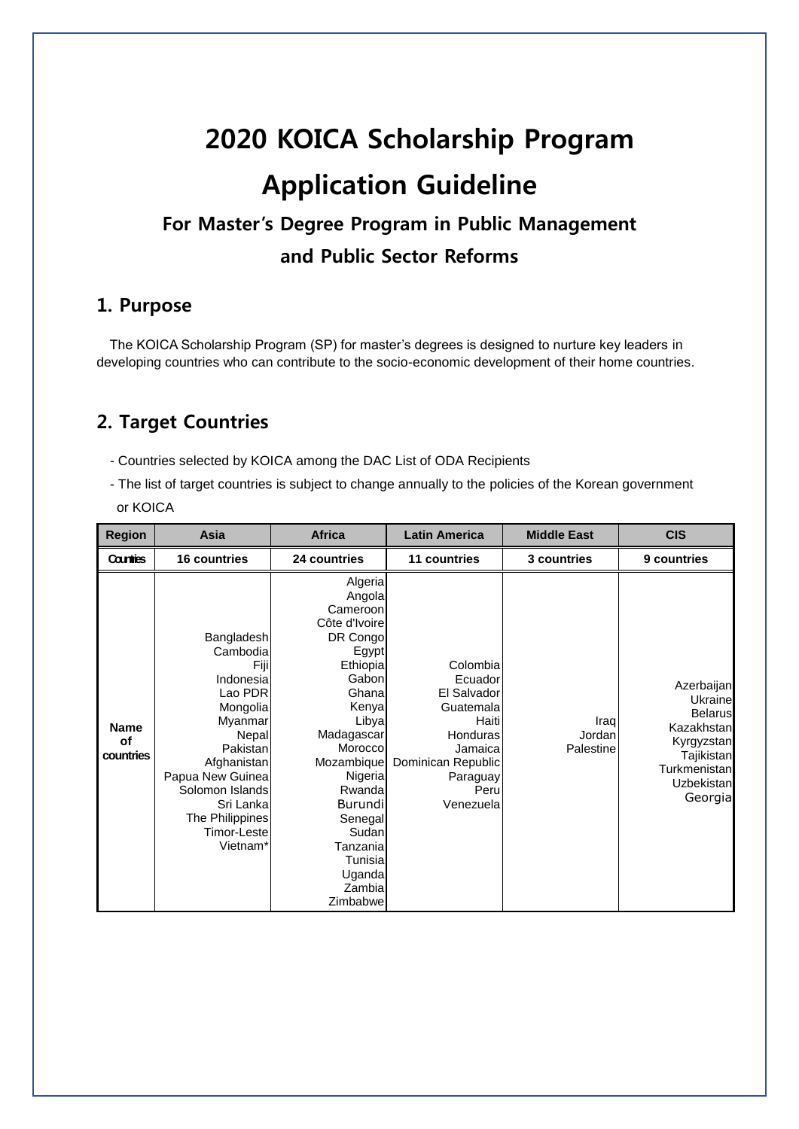# **2020 KOICA Scholarship Program Application Guideline**

# **For Master's Degree Program in Public Management and Public Sector Reforms**

#### **1. Purpose**

The KOICA Scholarship Program (SP) for master's degrees is designed to nurture key leaders in developing countries who can contribute to the socio-economic development of their home countries.

## **2. Target Countries**

- Countries selected by KOICA among the DAC List of ODA Recipients

- The list of target countries is subject to change annually to the policies of the Korean government or KOICA

| <b>Region</b>                  | Asia                                                                                                                                                                                                                | <b>Africa</b>                                                                                                                                                                                                                                                           | <b>Latin America</b>                                                                                                                   | <b>Middle East</b>          | <b>CIS</b>                                                                                                                        |
|--------------------------------|---------------------------------------------------------------------------------------------------------------------------------------------------------------------------------------------------------------------|-------------------------------------------------------------------------------------------------------------------------------------------------------------------------------------------------------------------------------------------------------------------------|----------------------------------------------------------------------------------------------------------------------------------------|-----------------------------|-----------------------------------------------------------------------------------------------------------------------------------|
| <b>Countries</b>               | <b>16 countries</b>                                                                                                                                                                                                 | 24 countries                                                                                                                                                                                                                                                            | 11 countries                                                                                                                           | 3 countries                 | 9 countries                                                                                                                       |
| <b>Name</b><br>of<br>countries | Bangladesh<br>Cambodia<br>Fiji<br>Indonesia<br>Lao PDR<br>Mongolia<br>Myanmar<br>Nepal<br>Pakistan<br>Afghanistan<br>Papua New Guinea<br>Solomon Islands<br>Sri Lanka<br>The Philippines<br>Timor-Leste<br>Vietnam* | Algeria<br>Angola<br>Cameroon<br>Côte d'Ivoire<br>DR Congo<br>Egypt<br>Ethiopia<br>Gabon<br>Ghana<br>Kenya<br>Libya<br>Madagascar<br>Morocco<br>Mozambique<br>Nigeria<br>Rwanda<br>Burundi<br>Senegal<br>Sudan<br>Tanzania<br>Tunisial<br>Uganda<br>Zambial<br>Zimbabwe | Colombia<br>Ecuador<br>El Salvador<br>Guatemala<br>Haiti<br>Honduras<br>Jamaica<br>Dominican Republic<br>Paraguay<br>Peru<br>Venezuela | Iraq<br>Jordan<br>Palestine | Azerbaijan<br><b>Ukraine</b><br><b>Belarus</b><br>Kazakhstan<br>Kyrgyzstan<br>Tajikistan<br>Turkmenistan<br>Uzbekistan<br>Georgia |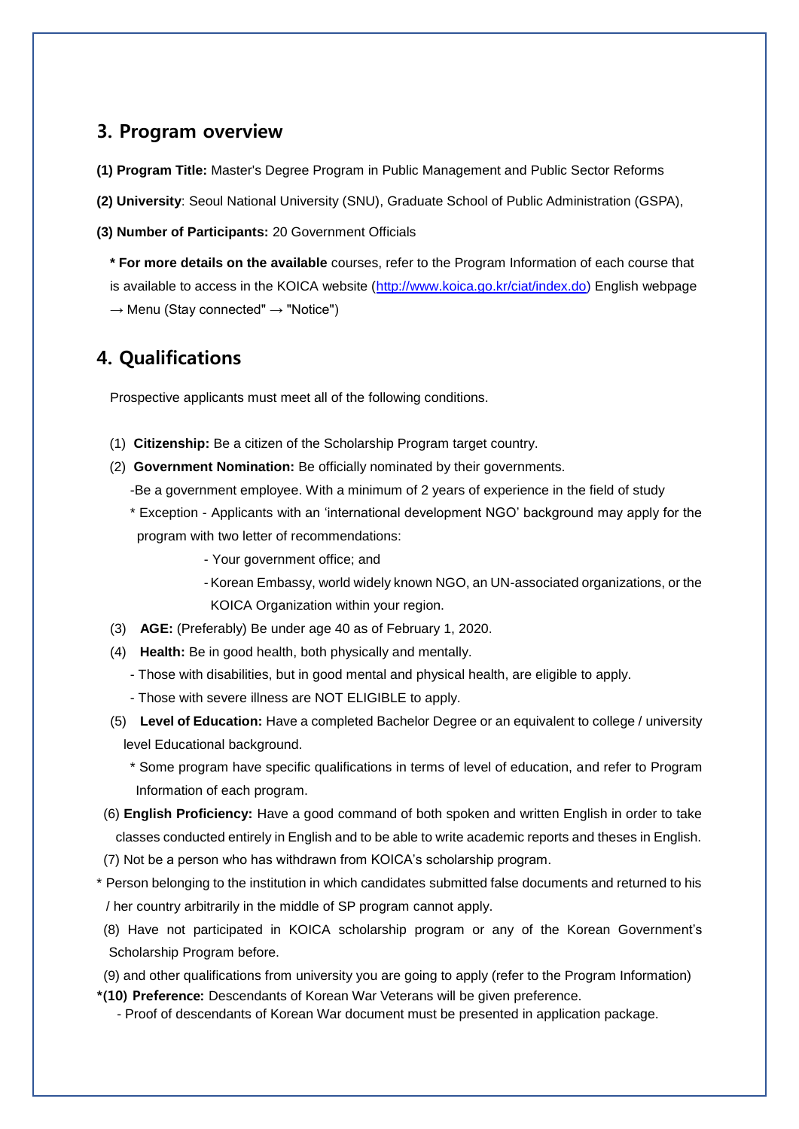#### **3. Program overview**

**(1) Program Title:** Master's Degree Program in Public Management and Public Sector Reforms

**(2) University**: Seoul National University (SNU), Graduate School of Public Administration (GSPA),

**(3) Number of Participants:** 20 Government Officials

**\* For more details on the available** courses, refer to the Program Information of each course that is available to access in the KOICA website [\(http://www.koica.go.kr/ciat/index.do\)](http://www.koica.go.kr/ciat/index.do) English webpage  $\rightarrow$  Menu (Stay connected"  $\rightarrow$  "Notice")

#### **4. Qualifications**

Prospective applicants must meet all of the following conditions.

- (1) **Citizenship:** Be a citizen of the Scholarship Program target country.
- (2) **Government Nomination:** Be officially nominated by their governments.
	- -Be a government employee. With a minimum of 2 years of experience in the field of study
	- \* Exception Applicants with an 'international development NGO' background may apply for the program with two letter of recommendations:
		- Your government office; and
		- -Korean Embassy, world widely known NGO, an UN-associated organizations, or the KOICA Organization within your region.
- (3) **AGE:** (Preferably) Be under age 40 as of February 1, 2020.
- (4) **Health:** Be in good health, both physically and mentally.
	- Those with disabilities, but in good mental and physical health, are eligible to apply.
	- Those with severe illness are NOT ELIGIBLE to apply.
- (5) **Level of Education:** Have a completed Bachelor Degree or an equivalent to college / university level Educational background.
	- \* Some program have specific qualifications in terms of level of education, and refer to Program Information of each program.
- (6) **English Proficiency:** Have a good command of both spoken and written English in order to take classes conducted entirely in English and to be able to write academic reports and theses in English.
- (7) Not be a person who has withdrawn from KOICA's scholarship program.
- \* Person belonging to the institution in which candidates submitted false documents and returned to his / her country arbitrarily in the middle of SP program cannot apply.
- (8) Have not participated in KOICA scholarship program or any of the Korean Government's Scholarship Program before.
- (9) and other qualifications from university you are going to apply (refer to the Program Information)
- **\*(10) Preference:** Descendants of Korean War Veterans will be given preference.
	- Proof of descendants of Korean War document must be presented in application package.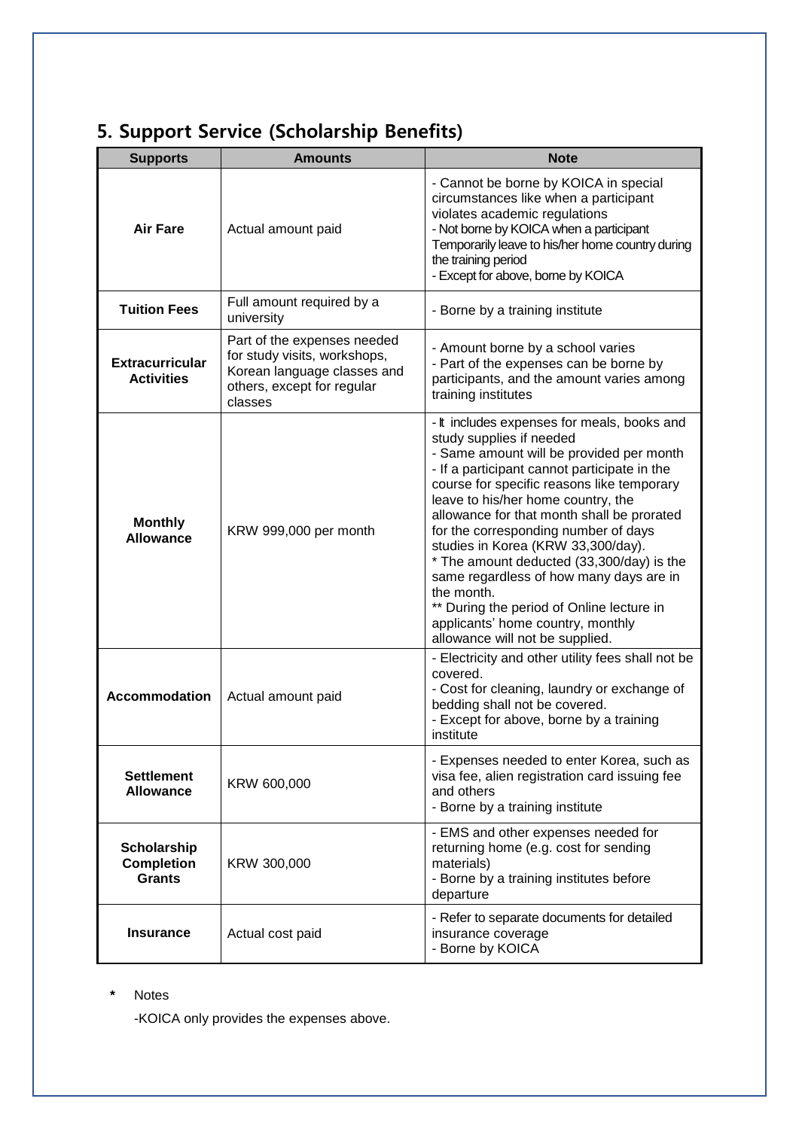# **5. Support Service (Scholarship Benefits)**

| <b>Supports</b>                                          | <b>Amounts</b>                                                                                                                      | <b>Note</b>                                                                                                                                                                                                                                                                                                                                                                                                                                                                                                                                                                                                    |
|----------------------------------------------------------|-------------------------------------------------------------------------------------------------------------------------------------|----------------------------------------------------------------------------------------------------------------------------------------------------------------------------------------------------------------------------------------------------------------------------------------------------------------------------------------------------------------------------------------------------------------------------------------------------------------------------------------------------------------------------------------------------------------------------------------------------------------|
| <b>Air Fare</b>                                          | Actual amount paid                                                                                                                  | - Cannot be borne by KOICA in special<br>circumstances like when a participant<br>violates academic regulations<br>- Not borne by KOICA when a participant<br>Temporarily leave to his/her home country during<br>the training period<br>- Except for above, borne by KOICA                                                                                                                                                                                                                                                                                                                                    |
| <b>Tuition Fees</b>                                      | Full amount required by a<br>university                                                                                             | - Borne by a training institute                                                                                                                                                                                                                                                                                                                                                                                                                                                                                                                                                                                |
| <b>Extracurricular</b><br><b>Activities</b>              | Part of the expenses needed<br>for study visits, workshops,<br>Korean language classes and<br>others, except for regular<br>classes | - Amount borne by a school varies<br>- Part of the expenses can be borne by<br>participants, and the amount varies among<br>training institutes                                                                                                                                                                                                                                                                                                                                                                                                                                                                |
| <b>Monthly</b><br><b>Allowance</b>                       | KRW 999,000 per month                                                                                                               | - It includes expenses for meals, books and<br>study supplies if needed<br>- Same amount will be provided per month<br>- If a participant cannot participate in the<br>course for specific reasons like temporary<br>leave to his/her home country, the<br>allowance for that month shall be prorated<br>for the corresponding number of days<br>studies in Korea (KRW 33,300/day).<br>* The amount deducted (33,300/day) is the<br>same regardless of how many days are in<br>the month.<br>** During the period of Online lecture in<br>applicants' home country, monthly<br>allowance will not be supplied. |
| <b>Accommodation</b>                                     | Actual amount paid                                                                                                                  | - Electricity and other utility fees shall not be<br>covered.<br>- Cost for cleaning, laundry or exchange of<br>bedding shall not be covered.<br>- Except for above, borne by a training<br>institute                                                                                                                                                                                                                                                                                                                                                                                                          |
| <b>Settlement</b><br><b>Allowance</b>                    | KRW 600,000                                                                                                                         | - Expenses needed to enter Korea, such as<br>visa fee, alien registration card issuing fee<br>and others<br>- Borne by a training institute                                                                                                                                                                                                                                                                                                                                                                                                                                                                    |
| <b>Scholarship</b><br><b>Completion</b><br><b>Grants</b> | KRW 300,000                                                                                                                         | - EMS and other expenses needed for<br>returning home (e.g. cost for sending<br>materials)<br>- Borne by a training institutes before<br>departure                                                                                                                                                                                                                                                                                                                                                                                                                                                             |
| <b>Insurance</b>                                         | Actual cost paid                                                                                                                    | - Refer to separate documents for detailed<br>insurance coverage<br>- Borne by KOICA                                                                                                                                                                                                                                                                                                                                                                                                                                                                                                                           |

**\*** Notes

-KOICA only provides the expenses above.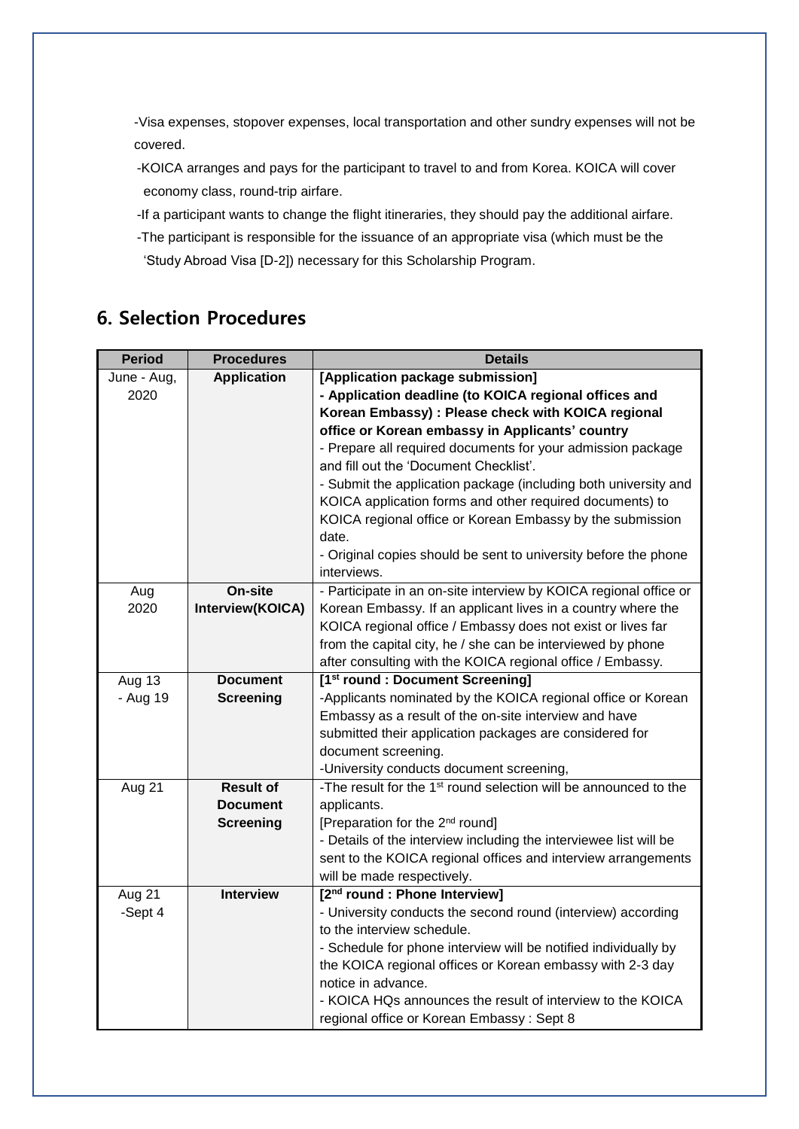-Visa expenses, stopover expenses, local transportation and other sundry expenses will not be covered.

- -KOICA arranges and pays for the participant to travel to and from Korea. KOICA will cover economy class, round-trip airfare.
- -If a participant wants to change the flight itineraries, they should pay the additional airfare.
- -The participant is responsible for the issuance of an appropriate visa (which must be the 'Study Abroad Visa [D-2]) necessary for this Scholarship Program.

## **6. Selection Procedures**

| - Prepare all required documents for your admission package                                                                                                                                                                                                   |
|---------------------------------------------------------------------------------------------------------------------------------------------------------------------------------------------------------------------------------------------------------------|
|                                                                                                                                                                                                                                                               |
| - Submit the application package (including both university and                                                                                                                                                                                               |
|                                                                                                                                                                                                                                                               |
| KOICA regional office or Korean Embassy by the submission                                                                                                                                                                                                     |
|                                                                                                                                                                                                                                                               |
| - Original copies should be sent to university before the phone                                                                                                                                                                                               |
|                                                                                                                                                                                                                                                               |
| - Participate in an on-site interview by KOICA regional office or                                                                                                                                                                                             |
| Korean Embassy. If an applicant lives in a country where the                                                                                                                                                                                                  |
|                                                                                                                                                                                                                                                               |
|                                                                                                                                                                                                                                                               |
|                                                                                                                                                                                                                                                               |
|                                                                                                                                                                                                                                                               |
| -Applicants nominated by the KOICA regional office or Korean                                                                                                                                                                                                  |
|                                                                                                                                                                                                                                                               |
|                                                                                                                                                                                                                                                               |
|                                                                                                                                                                                                                                                               |
|                                                                                                                                                                                                                                                               |
| -The result for the 1 <sup>st</sup> round selection will be announced to the                                                                                                                                                                                  |
|                                                                                                                                                                                                                                                               |
|                                                                                                                                                                                                                                                               |
|                                                                                                                                                                                                                                                               |
| sent to the KOICA regional offices and interview arrangements                                                                                                                                                                                                 |
|                                                                                                                                                                                                                                                               |
|                                                                                                                                                                                                                                                               |
| - University conducts the second round (interview) according                                                                                                                                                                                                  |
|                                                                                                                                                                                                                                                               |
|                                                                                                                                                                                                                                                               |
|                                                                                                                                                                                                                                                               |
| - KOICA HQs announces the result of interview to the KOICA                                                                                                                                                                                                    |
|                                                                                                                                                                                                                                                               |
| KOICA application forms and other required documents) to<br>- Details of the interview including the interviewee list will be<br>- Schedule for phone interview will be notified individually by<br>the KOICA regional offices or Korean embassy with 2-3 day |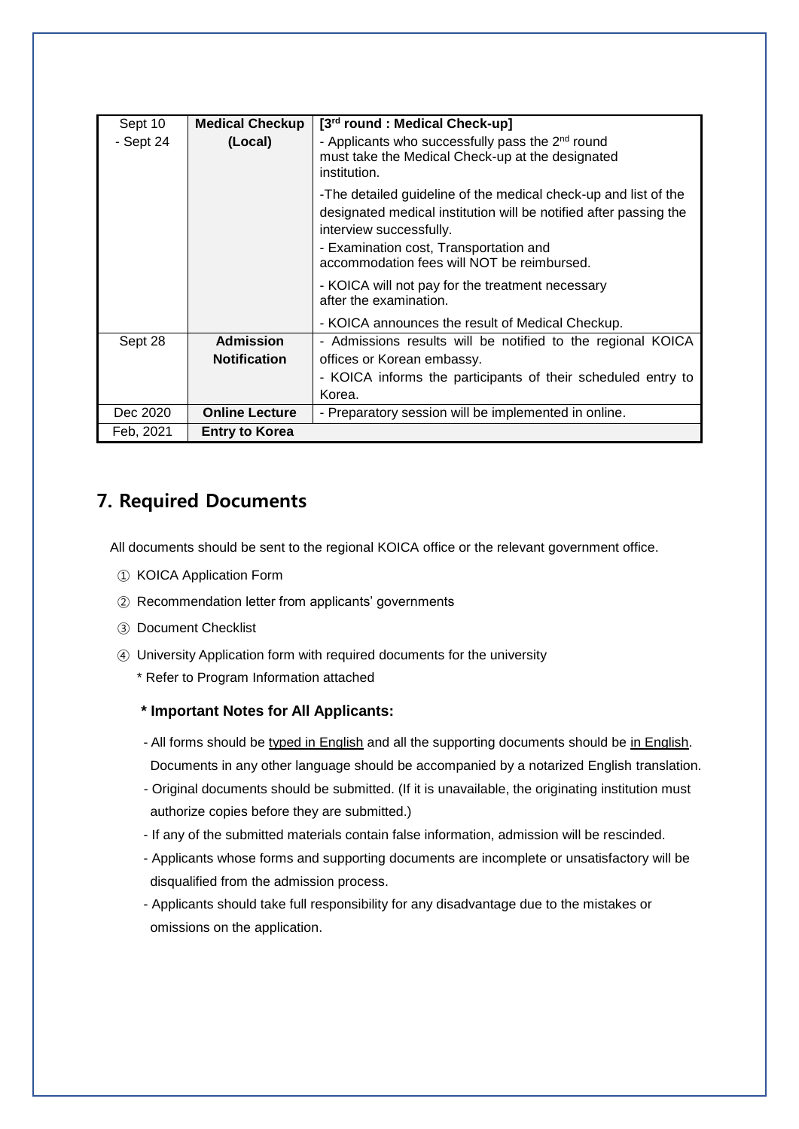| Sept 10     | <b>Medical Checkup</b> | [3 <sup>rd</sup> round: Medical Check-up]                                                                                                                                                                                                               |
|-------------|------------------------|---------------------------------------------------------------------------------------------------------------------------------------------------------------------------------------------------------------------------------------------------------|
| $-$ Sept 24 | (Local)                | - Applicants who successfully pass the 2 <sup>nd</sup> round<br>must take the Medical Check-up at the designated<br>institution.                                                                                                                        |
|             |                        | -The detailed guideline of the medical check-up and list of the<br>designated medical institution will be notified after passing the<br>interview successfully.<br>- Examination cost, Transportation and<br>accommodation fees will NOT be reimbursed. |
|             |                        | - KOICA will not pay for the treatment necessary<br>after the examination.                                                                                                                                                                              |
|             |                        | - KOICA announces the result of Medical Checkup.                                                                                                                                                                                                        |
| Sept 28     | <b>Admission</b>       | - Admissions results will be notified to the regional KOICA                                                                                                                                                                                             |
|             | <b>Notification</b>    | offices or Korean embassy.                                                                                                                                                                                                                              |
|             |                        | - KOICA informs the participants of their scheduled entry to                                                                                                                                                                                            |
|             |                        | Korea.                                                                                                                                                                                                                                                  |
| Dec 2020    | <b>Online Lecture</b>  | - Preparatory session will be implemented in online.                                                                                                                                                                                                    |
| Feb, 2021   | <b>Entry to Korea</b>  |                                                                                                                                                                                                                                                         |

## **7. Required Documents**

All documents should be sent to the regional KOICA office or the relevant government office.

- ① KOICA Application Form
- ② Recommendation letter from applicants' governments
- ③ Document Checklist
- ④ University Application form with required documents for the university
	- \* Refer to Program Information attached

#### **\* Important Notes for All Applicants:**

- All forms should be typed in English and all the supporting documents should be in English. Documents in any other language should be accompanied by a notarized English translation.
- Original documents should be submitted. (If it is unavailable, the originating institution must authorize copies before they are submitted.)
- If any of the submitted materials contain false information, admission will be rescinded.
- Applicants whose forms and supporting documents are incomplete or unsatisfactory will be disqualified from the admission process.
- Applicants should take full responsibility for any disadvantage due to the mistakes or omissions on the application.